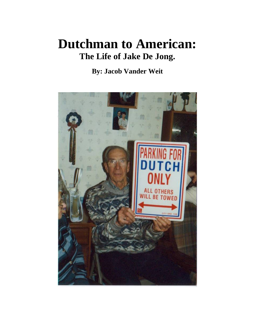## **Dutchman to American: The Life of Jake De Jong.**

## **By: Jacob Vander Weit**

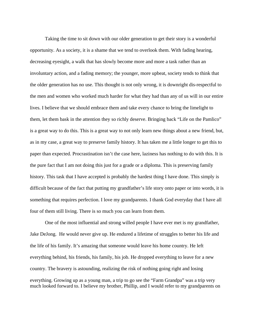Taking the time to sit down with our older generation to get their story is a wonderful opportunity. As a society, it is a shame that we tend to overlook them. With fading hearing, decreasing eyesight, a walk that has slowly become more and more a task rather than an involuntary action, and a fading memory; the younger, more upbeat, society tends to think that the older generation has no use. This thought is not only wrong, it is downright dis-respectful to the men and women who worked much harder for what they had than any of us will in our entire lives. I believe that we should embrace them and take every chance to bring the limelight to them, let them bask in the attention they so richly deserve. Bringing back "Life on the Pamlico" is a great way to do this. This is a great way to not only learn new things about a new friend, but, as in my case, a great way to preserve family history. It has taken me a little longer to get this to paper than expected. Procrastination isn't the case here, laziness has nothing to do with this. It is the pure fact that I am not doing this just for a grade or a diploma. This is preserving family history. This task that I have accepted is probably the hardest thing I have done. This simply is difficult because of the fact that putting my grandfather's life story onto paper or into words, it is something that requires perfection. I love my grandparents. I thank God everyday that I have all four of them still living. There is so much you can learn from them.

 One of the most influential and strong willed people I have ever met is my grandfather, Jake DeJong. He would never give up. He endured a lifetime of struggles to better his life and the life of his family. It's amazing that someone would leave his home country. He left everything behind, his friends, his family, his job. He dropped everything to leave for a new country. The bravery is astounding, realizing the risk of nothing going right and losing everything. Growing up as a young man, a trip to go see the "Farm Grandpa" was a trip very much looked forward to. I believe my brother, Phillip, and I would refer to my grandparents on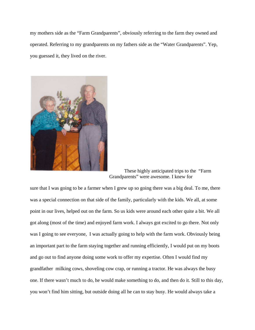my mothers side as the "Farm Grandparents", obviously referring to the farm they owned and operated. Referring to my grandparents on my fathers side as the "Water Grandparents". Yep, you guessed it, they lived on the river.



 These highly anticipated trips to the "Farm Grandparents" were awesome. I knew for

sure that I was going to be a farmer when I grew up so going there was a big deal. To me, there was a special connection on that side of the family, particularly with the kids. We all, at some point in our lives, helped out on the farm. So us kids were around each other quite a bit. We all got along (most of the time) and enjoyed farm work. I always got excited to go there. Not only was I going to see everyone, I was actually going to help with the farm work. Obviously being an important part to the farm staying together and running efficiently, I would put on my boots and go out to find anyone doing some work to offer my expertise. Often I would find my grandfather milking cows, shoveling cow crap, or running a tractor. He was always the busy one. If there wasn't much to do, he would make something to do, and then do it. Still to this day, you won't find him sitting, but outside doing all he can to stay busy. He would always take a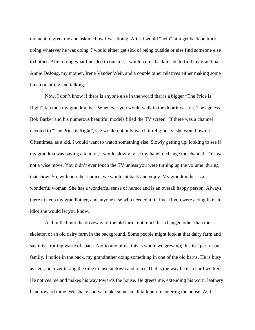moment to greet me and ask me how I was doing. After I would "help" him get back on track doing whatever he was doing I would either get sick of being outside or else find someone else to bother. After doing what I needed to outside, I would come back inside to find my grandma, Annie DeJong, my mother, Irene Vander Weit, and a couple other relatives either making some lunch or sitting and talking.

 Now, I don't know if there is anyone else in the world that is a bigger "The Price is Right" fan then my grandmother. Whenever you would walk in the door it was on. The ageless Bob Barker and his numerous beautiful models filled the TV screen. If there was a channel devoted to "The Price is Right", she would not only watch it religiously, she would own it. Oftentimes, as a kid, I would want to watch something else. Slowly getting up, looking to see if my grandma was paying attention, I would slowly raise my hand to change the channel. This was not a wise move. You didn't ever touch the TV unless you were turning up the volume during that show. So, with no other choice, we would sit back and enjoy. My grandmother is a wonderful woman. She has a wonderful sense of humor and is an overall happy person. Always there to keep my grandfather, and anyone else who needed it, in line. If you were acting like an idiot she would let you know.

 As I pulled into the driveway of the old farm, not much has changed other than the skeleton of an old dairy farm in the background. Some people might look at that dairy farm and say it is a rotting waste of space. Not to any of us; this is where we grew up; this is a part of our family. I notice in the back, my grandfather doing something in one of the old barns. He is busy as ever, not ever taking the time to just sit down and relax. That is the way he is, a hard worker. He notices me and makes his way towards the house. He greets me, extending his worn, leathery hand toward mine. We shake and we make some small talk before entering the house. As I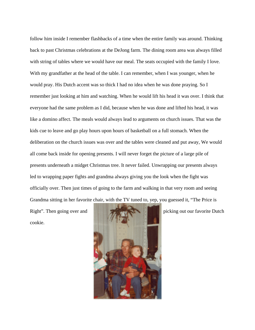follow him inside I remember flashbacks of a time when the entire family was around. Thinking back to past Christmas celebrations at the DeJong farm. The dining room area was always filled with string of tables where we would have our meal. The seats occupied with the family I love. With my grandfather at the head of the table. I can remember, when I was younger, when he would pray. His Dutch accent was so thick I had no idea when he was done praying. So I remember just looking at him and watching. When he would lift his head it was over. I think that everyone had the same problem as I did, because when he was done and lifted his head, it was like a domino affect. The meals would always lead to arguments on church issues. That was the kids cue to leave and go play hours upon hours of basketball on a full stomach. When the deliberation on the church issues was over and the tables were cleaned and put away, We would all come back inside for opening presents. I will never forget the picture of a large pile of presents underneath a midget Christmas tree. It never failed. Unwrapping our presents always led to wrapping paper fights and grandma always giving you the look when the fight was officially over. Then just times of going to the farm and walking in that very room and seeing Grandma sitting in her favorite chair, with the TV tuned to, yep, you guessed it, "The Price is

cookie.

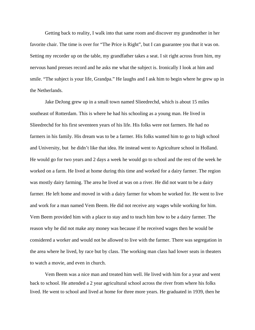Getting back to reality, I walk into that same room and discover my grandmother in her favorite chair. The time is over for "The Price is Right", but I can guarantee you that it was on. Setting my recorder up on the table, my grandfather takes a seat. I sit right across from him, my nervous hand presses record and he asks me what the subject is. Ironically I look at him and smile. "The subject is your life, Grandpa." He laughs and I ask him to begin where he grew up in the Netherlands.

 Jake DeJong grew up in a small town named Slieedrechd, which is about 15 miles southeast of Rotterdam. This is where he had his schooling as a young man. He lived in Slieedrechd for his first seventeen years of his life. His folks were not farmers. He had no farmers in his family. His dream was to be a farmer. His folks wanted him to go to high school and University, but he didn't like that idea. He instead went to Agriculture school in Holland. He would go for two years and 2 days a week he would go to school and the rest of the week he worked on a farm. He lived at home during this time and worked for a dairy farmer. The region was mostly dairy farming. The area he lived at was on a river. He did not want to be a dairy farmer. He left home and moved in with a dairy farmer for whom he worked for. He went to live and work for a man named Vem Beem. He did not receive any wages while working for him. Vem Beem provided him with a place to stay and to teach him how to be a dairy farmer. The reason why he did not make any money was because if he received wages then he would be considered a worker and would not be allowed to live with the farmer. There was segregation in the area where he lived, by race but by class. The working man class had lower seats in theaters to watch a movie, and even in church.

 Vem Beem was a nice man and treated him well. He lived with him for a year and went back to school. He attended a 2 year agricultural school across the river from where his folks lived. He went to school and lived at home for three more years. He graduated in 1939, then he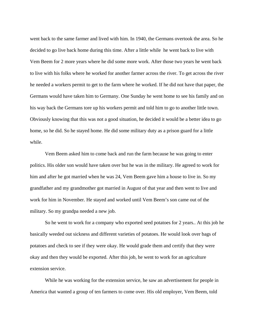went back to the same farmer and lived with him. In 1940, the Germans overtook the area. So he decided to go live back home during this time. After a little while he went back to live with Vem Beem for 2 more years where he did some more work. After those two years he went back to live with his folks where he worked for another farmer across the river. To get across the river he needed a workers permit to get to the farm where he worked. If he did not have that paper, the Germans would have taken him to Germany. One Sunday he went home to see his family and on his way back the Germans tore up his workers permit and told him to go to another little town. Obviously knowing that this was not a good situation, he decided it would be a better idea to go home, so he did. So he stayed home. He did some military duty as a prison guard for a little while.

 Vem Beem asked him to come back and run the farm because he was going to enter politics. His older son would have taken over but he was in the military. He agreed to work for him and after he got married when he was 24, Vem Beem gave him a house to live in. So my grandfather and my grandmother got married in August of that year and then went to live and work for him in November. He stayed and worked until Vem Beem's son came out of the military. So my grandpa needed a new job.

 So he went to work for a company who exported seed potatoes for 2 years.. At this job he basically weeded out sickness and different varieties of potatoes. He would look over bags of potatoes and check to see if they were okay. He would grade them and certify that they were okay and then they would be exported. After this job, he went to work for an agriculture extension service.

 While he was working for the extension service, he saw an advertisement for people in America that wanted a group of ten farmers to come over. His old employer, Vem Beem, told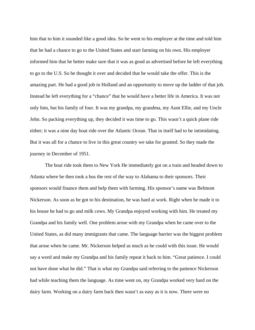him that to him it sounded like a good idea. So he went to his employer at the time and told him that he had a chance to go to the United States and start farming on his own. His employer informed him that he better make sure that it was as good as advertised before he left everything to go to the U.S. So he thought it over and decided that he would take the offer. This is the amazing part. He had a good job in Holland and an opportunity to move up the ladder of that job. Instead he left everything for a "chance" that he would have a better life in America. It was not only him, but his family of four. It was my grandpa, my grandma, my Aunt Ellie, and my Uncle John. So packing everything up, they decided it was time to go. This wasn't a quick plane ride either; it was a nine day boat ride over the Atlantic Ocean. That in itself had to be intimidating. But it was all for a chance to live in this great country we take for granted. So they made the journey in December of 1951.

 The boat ride took them to New York He immediately got on a train and headed down to Atlanta where he then took a bus the rest of the way to Alabama to their sponsors. Their sponsors would finance them and help them with farming. His sponsor's name was Belmont Nickerson. As soon as he got to his destination, he was hard at work. Right when he made it to his house he had to go and milk cows. My Grandpa enjoyed working with him. He treated my Grandpa and his family well. One problem arose with my Grandpa when he came over to the United States, as did many immigrants that came. The language barrier was the biggest problem that arose when he came. Mr. Nickerson helped as much as he could with this issue. He would say a word and make my Grandpa and his family repeat it back to him. "Great patience. I could not have done what he did." That is what my Grandpa said referring to the patience Nickerson had while teaching them the language. As time went on, my Grandpa worked very hard on the dairy farm. Working on a dairy farm back then wasn't as easy as it is now. There were no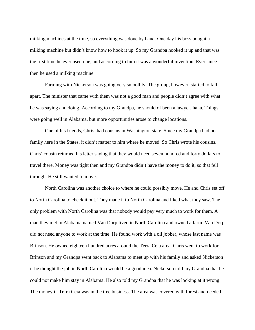milking machines at the time, so everything was done by hand. One day his boss bought a milking machine but didn't know how to hook it up. So my Grandpa hooked it up and that was the first time he ever used one, and according to him it was a wonderful invention. Ever since then he used a milking machine.

 Farming with Nickerson was going very smoothly. The group, however, started to fall apart. The minister that came with them was not a good man and people didn't agree with what he was saying and doing. According to my Grandpa, he should of been a lawyer, haha. Things were going well in Alabama, but more opportunities arose to change locations.

 One of his friends, Chris, had cousins in Washington state. Since my Grandpa had no family here in the States, it didn't matter to him where he moved. So Chris wrote his cousins. Chris' cousin returned his letter saying that they would need seven hundred and forty dollars to travel there. Money was tight then and my Grandpa didn't have the money to do it, so that fell through. He still wanted to move.

 North Carolina was another choice to where he could possibly move. He and Chris set off to North Carolina to check it out. They made it to North Carolina and liked what they saw. The only problem with North Carolina was that nobody would pay very much to work for them. A man they met in Alabama named Van Dorp lived in North Carolina and owned a farm. Van Dorp did not need anyone to work at the time. He found work with a oil jobber, whose last name was Brinson. He owned eighteen hundred acres around the Terra Ceia area. Chris went to work for Brinson and my Grandpa went back to Alabama to meet up with his family and asked Nickerson if he thought the job in North Carolina would be a good idea. Nickerson told my Grandpa that he could not make him stay in Alabama. He also told my Grandpa that he was looking at it wrong. The money in Terra Ceia was in the tree business. The area was covered with forest and needed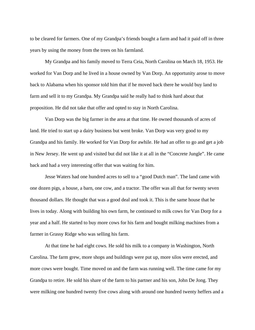to be cleared for farmers. One of my Grandpa's friends bought a farm and had it paid off in three years by using the money from the trees on his farmland.

 My Grandpa and his family moved to Terra Ceia, North Carolina on March 18, 1953. He worked for Van Dorp and he lived in a house owned by Van Dorp. An opportunity arose to move back to Alabama when his sponsor told him that if he moved back there he would buy land to farm and sell it to my Grandpa. My Grandpa said he really had to think hard about that proposition. He did not take that offer and opted to stay in North Carolina.

 Van Dorp was the big farmer in the area at that time. He owned thousands of acres of land. He tried to start up a dairy business but went broke. Van Dorp was very good to my Grandpa and his family. He worked for Van Dorp for awhile. He had an offer to go and get a job in New Jersey. He went up and visited but did not like it at all in the "Concrete Jungle". He came back and had a very interesting offer that was waiting for him.

 Jesse Waters had one hundred acres to sell to a "good Dutch man". The land came with one dozen pigs, a house, a barn, one cow, and a tractor. The offer was all that for twenty seven thousand dollars. He thought that was a good deal and took it. This is the same house that he lives in today. Along with building his own farm, he continued to milk cows for Van Dorp for a year and a half. He started to buy more cows for his farm and bought milking machines from a farmer in Grassy Ridge who was selling his farm.

 At that time he had eight cows. He sold his milk to a company in Washington, North Carolina. The farm grew, more shops and buildings were put up, more silos were erected, and more cows were bought. Time moved on and the farm was running well. The time came for my Grandpa to retire. He sold his share of the farm to his partner and his son, John De Jong. They were milking one hundred twenty five cows along with around one hundred twenty heffers and a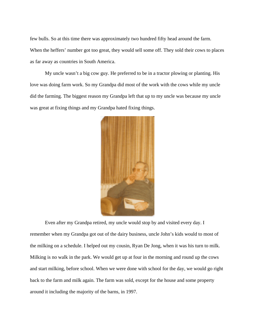few bulls. So at this time there was approximately two hundred fifty head around the farm. When the heffers' number got too great, they would sell some off. They sold their cows to places as far away as countries in South America.

 My uncle wasn't a big cow guy. He preferred to be in a tractor plowing or planting. His love was doing farm work. So my Grandpa did most of the work with the cows while my uncle did the farming. The biggest reason my Grandpa left that up to my uncle was because my uncle was great at fixing things and my Grandpa hated fixing things.



 Even after my Grandpa retired, my uncle would stop by and visited every day. I remember when my Grandpa got out of the dairy business, uncle John's kids would to most of the milking on a schedule. I helped out my cousin, Ryan De Jong, when it was his turn to milk. Milking is no walk in the park. We would get up at four in the morning and round up the cows and start milking, before school. When we were done with school for the day, we would go right back to the farm and milk again. The farm was sold, except for the house and some property around it including the majority of the barns, in 1997.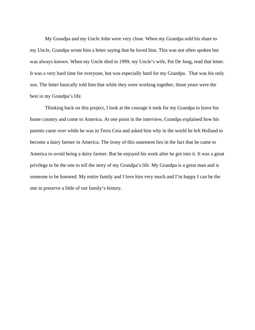My Grandpa and my Uncle John were very close. When my Grandpa sold his share to my Uncle, Grandpa wrote him a letter saying that he loved him. This was not often spoken but was always known. When my Uncle died in 1999, my Uncle's wife, Pat De Jong, read that letter. It was a very hard time for everyone, but was especially hard for my Grandpa. That was his only son. The letter basically told him that while they were working together, those years were the best in my Grandpa's life.

 Thinking back on this project, I look at the courage it took for my Grandpa to leave his home country and come to America. At one point in the interview, Grandpa explained how his parents came over while he was in Terra Ceia and asked him why in the world he left Holland to become a dairy farmer in America. The irony of this statement lies in the fact that he came to America to avoid being a dairy farmer. But he enjoyed his work after he got into it. It was a great privilege to be the one to tell the story of my Grandpa's life. My Grandpa is a great man and is someone to be honored. My entire family and I love him very much and I'm happy I can be the one to preserve a little of our family's history.